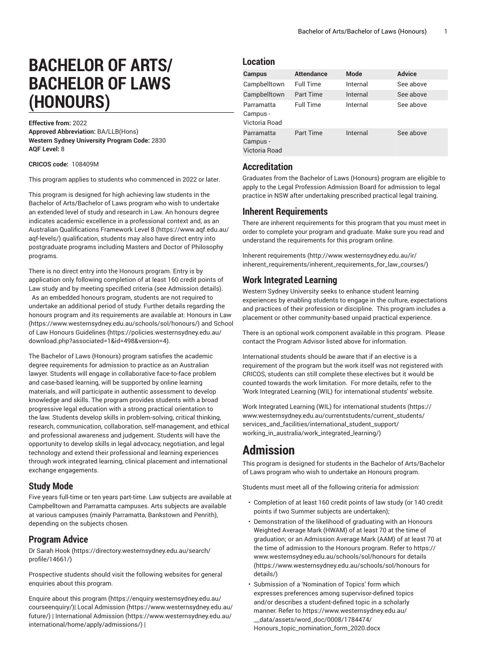# **BACHELOR OF ARTS/ BACHELOR OF LAWS (HONOURS)**

**Effective from:** 2022 **Approved Abbreviation:** BA/LLB(Hons) **Western Sydney University Program Code:** 2830 **AQF Level:** 8

**CRICOS code:** 108409M

This program applies to students who commenced in 2022 or later.

This program is designed for high achieving law students in the Bachelor of Arts/Bachelor of Laws program who wish to undertake an extended level of study and research in Law. An honours degree indicates academic excellence in a professional context and, as an Australian [Qualifications](https://www.aqf.edu.au/aqf-levels/) Framework Level 8 [\(https://www.aqf.edu.au/](https://www.aqf.edu.au/aqf-levels/) [aqf-levels/\)](https://www.aqf.edu.au/aqf-levels/) qualification, students may also have direct entry into postgraduate programs including Masters and Doctor of Philosophy programs.

There is no direct entry into the Honours program. Entry is by application only following completion of at least 160 credit points of Law study and by meeting specified criteria (see Admission details). As an embedded honours program, students are not required to undertake an additional period of study. Further details regarding the honours program and its requirements are available at: [Honours in Law](https://www.westernsydney.edu.au/schools/sol/honours/) ([https://www.westernsydney.edu.au/schools/sol/honours/\)](https://www.westernsydney.edu.au/schools/sol/honours/) and [School](https://policies.westernsydney.edu.au/download.php?associated=1&id=498&version=4) [of Law Honours Guidelines \(https://policies.westernsydney.edu.au/](https://policies.westernsydney.edu.au/download.php?associated=1&id=498&version=4) [download.php?associated=1&id=498&version=4\)](https://policies.westernsydney.edu.au/download.php?associated=1&id=498&version=4).

The Bachelor of Laws (Honours) program satisfies the academic degree requirements for admission to practice as an Australian lawyer. Students will engage in collaborative face-to-face problem and case-based learning, will be supported by online learning materials, and will participate in authentic assessment to develop knowledge and skills. The program provides students with a broad progressive legal education with a strong practical orientation to the law. Students develop skills in problem-solving, critical thinking, research, communication, collaboration, self-management, and ethical and professional awareness and judgement. Students will have the opportunity to develop skills in legal advocacy, negotiation, and legal technology and extend their professional and learning experiences through work integrated learning, clinical placement and international exchange engagements.

#### **Study Mode**

Five years full-time or ten years part-time. Law subjects are available at Campbelltown and Parramatta campuses. Arts subjects are available at various campuses (mainly Parramatta, Bankstown and Penrith), depending on the subjects chosen.

### **Program Advice**

[Dr Sarah Hook](https://directory.westernsydney.edu.au/search/profile/14661/) ([https://directory.westernsydney.edu.au/search/](https://directory.westernsydney.edu.au/search/profile/14661/) [profile/14661/\)](https://directory.westernsydney.edu.au/search/profile/14661/)

Prospective students should visit the following websites for general enquiries about this program.

Enquire about this [program \(https://enquiry.westernsydney.edu.au/](https://enquiry.westernsydney.edu.au/courseenquiry/) [courseenquiry/](https://enquiry.westernsydney.edu.au/courseenquiry/))| [Local Admission \(https://www.westernsydney.edu.au/](https://www.westernsydney.edu.au/future/) [future/\)](https://www.westernsydney.edu.au/future/) | [International Admission](https://www.westernsydney.edu.au/international/home/apply/admissions/) ([https://www.westernsydney.edu.au/](https://www.westernsydney.edu.au/international/home/apply/admissions/) [international/home/apply/admissions/](https://www.westernsydney.edu.au/international/home/apply/admissions/)) |

#### **Location**

| Campus                                  | <b>Attendance</b> | <b>Mode</b> | <b>Advice</b> |
|-----------------------------------------|-------------------|-------------|---------------|
| Campbelltown                            | <b>Full Time</b>  | Internal    | See above     |
| Campbelltown                            | Part Time         | Internal    | See above     |
| Parramatta<br>Campus -<br>Victoria Road | <b>Full Time</b>  | Internal    | See above     |
| Parramatta<br>Campus -<br>Victoria Road | <b>Part Time</b>  | Internal    | See above     |

### **Accreditation**

Graduates from the Bachelor of Laws (Honours) program are eligible to apply to the Legal Profession Admission Board for admission to legal practice in NSW after undertaking prescribed practical legal training.

### **Inherent Requirements**

There are inherent requirements for this program that you must meet in order to complete your program and graduate. Make sure you read and understand the requirements for this program online.

Inherent [requirements \(http://www.westernsydney.edu.au/ir/](http://www.westernsydney.edu.au/ir/inherent_requirements/inherent_requirements_for_law_courses/) [inherent\\_requirements/inherent\\_requirements\\_for\\_law\\_courses/](http://www.westernsydney.edu.au/ir/inherent_requirements/inherent_requirements_for_law_courses/))

### **Work Integrated Learning**

Western Sydney University seeks to enhance student learning experiences by enabling students to engage in the culture, expectations and practices of their profession or discipline. This program includes a placement or other community-based unpaid practical experience.

There is an optional work component available in this program. Please contact the Program Advisor listed above for information.

International students should be aware that if an elective is a requirement of the program but the work itself was not registered with CRICOS, students can still complete these electives but it would be counted towards the work limitation. For more details, refer to the 'Work Integrated Learning (WIL) for international students' website.

Work Integrated Learning (WIL) for [international](https://www.westernsydney.edu.au/currentstudents/current_students/services_and_facilities/international_student_support/working_in_australia/work_integrated_learning/) students ([https://](https://www.westernsydney.edu.au/currentstudents/current_students/services_and_facilities/international_student_support/working_in_australia/work_integrated_learning/) [www.westernsydney.edu.au/currentstudents/current\\_students/](https://www.westernsydney.edu.au/currentstudents/current_students/services_and_facilities/international_student_support/working_in_australia/work_integrated_learning/) [services\\_and\\_facilities/international\\_student\\_support/](https://www.westernsydney.edu.au/currentstudents/current_students/services_and_facilities/international_student_support/working_in_australia/work_integrated_learning/) [working\\_in\\_australia/work\\_integrated\\_learning/](https://www.westernsydney.edu.au/currentstudents/current_students/services_and_facilities/international_student_support/working_in_australia/work_integrated_learning/))

# **Admission**

This program is designed for students in the Bachelor of Arts/Bachelor of Laws program who wish to undertake an Honours program.

Students must meet all of the following criteria for admission:

- Completion of at least 160 credit points of law study (or 140 credit points if two Summer subjects are undertaken);
- Demonstration of the likelihood of graduating with an Honours Weighted Average Mark (HWAM) of at least 70 at the time of graduation; or an Admission Average Mark (AAM) of at least 70 at the time of admission to the Honours program. Refer to [https://](https://www.westernsydney.edu.au/schools/sol/honours for details/) [www.westernsydney.edu.au/schools/sol/honours](https://www.westernsydney.edu.au/schools/sol/honours for details/) for details ([https://www.westernsydney.edu.au/schools/sol/honours](https://www.westernsydney.edu.au/schools/sol/honours for details/) for [details/\)](https://www.westernsydney.edu.au/schools/sol/honours for details/)
- Submission of a 'Nomination of Topics' form which expresses preferences among supervisor-defined topics and/or describes a student-defined topic in a scholarly manner. Refer to [https://www.westernsydney.edu.au/](https://www.westernsydney.edu.au/__data/assets/word_doc/0008/1784474/Honours_topic_nomination_form_2020.docx) [\\_\\_data/assets/word\\_doc/0008/1784474/](https://www.westernsydney.edu.au/__data/assets/word_doc/0008/1784474/Honours_topic_nomination_form_2020.docx)

[Honours\\_topic\\_nomination\\_form\\_2020.docx](https://www.westernsydney.edu.au/__data/assets/word_doc/0008/1784474/Honours_topic_nomination_form_2020.docx)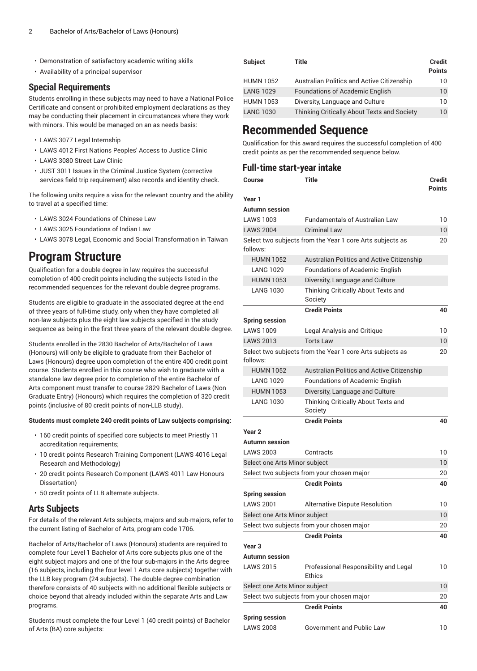- Demonstration of satisfactory academic writing skills
- Availability of a principal supervisor

#### **Special Requirements**

Students enrolling in these subjects may need to have a National Police Certificate and consent or prohibited employment declarations as they may be conducting their placement in circumstances where they work with minors. This would be managed on an as needs basis:

- LAWS 3077 Legal Internship
- LAWS 4012 First Nations Peoples' Access to Justice Clinic
- LAWS 3080 Street Law Clinic
- JUST 3011 Issues in the Criminal Justice System (corrective services field trip requirement) also records and identity check.

The following units require a visa for the relevant country and the ability to travel at a specified time:

- LAWS 3024 Foundations of Chinese Law
- LAWS 3025 Foundations of Indian Law
- LAWS 3078 Legal, Economic and Social Transformation in Taiwan

### **Program Structure**

Qualification for a double degree in law requires the successful completion of 400 credit points including the subjects listed in the recommended sequences for the relevant double degree programs.

Students are eligible to graduate in the associated degree at the end of three years of full-time study, only when they have completed all non-law subjects plus the eight law subjects specified in the study sequence as being in the first three years of the relevant double degree.

Students enrolled in the 2830 Bachelor of Arts/Bachelor of Laws (Honours) will only be eligible to graduate from their Bachelor of Laws (Honours) degree upon completion of the entire 400 credit point course. Students enrolled in this course who wish to graduate with a standalone law degree prior to completion of the entire Bachelor of Arts component must transfer to course 2829 Bachelor of Laws (Non Graduate Entry) (Honours) which requires the completion of 320 credit points (inclusive of 80 credit points of non-LLB study).

#### **Students must complete 240 credit points of Law subjects comprising:**

- 160 credit points of specified core subjects to meet Priestly 11 accreditation requirements;
- 10 credit points Research Training Component (LAWS 4016 Legal Research and Methodology)
- 20 credit points Research Component (LAWS 4011 Law Honours Dissertation)
- 50 credit points of LLB alternate subjects.

#### **Arts Subjects**

For details of the relevant Arts subjects, majors and sub-majors, refer to the current listing of Bachelor of Arts, program code 1706.

Bachelor of Arts/Bachelor of Laws (Honours) students are required to complete four Level 1 Bachelor of Arts core subjects plus one of the eight subject majors and one of the four sub-majors in the Arts degree (16 subjects, including the four level 1 Arts core subjects) together with the LLB key program (24 subjects). The double degree combination therefore consists of 40 subjects with no additional flexible subjects or choice beyond that already included within the separate Arts and Law programs.

Students must complete the four Level 1 (40 credit points) of Bachelor of Arts (BA) core subjects:

| <b>Subject</b>   | Title                                       | <b>Credit</b><br><b>Points</b> |
|------------------|---------------------------------------------|--------------------------------|
| <b>HUMN 1052</b> | Australian Politics and Active Citizenship  | 10                             |
| <b>LANG 1029</b> | <b>Foundations of Academic English</b>      | $10^{\circ}$                   |
| <b>HUMN 1053</b> | Diversity, Language and Culture             | 10                             |
| <b>LANG 1030</b> | Thinking Critically About Texts and Society | 10                             |

## **Recommended Sequence**

Qualification for this award requires the successful completion of 400 credit points as per the recommended sequence below.

#### **Full-time start-year intake**

| Course                        | Title                                                     | Credit<br><b>Points</b> |
|-------------------------------|-----------------------------------------------------------|-------------------------|
| Year 1                        |                                                           |                         |
| <b>Autumn</b> session         |                                                           |                         |
| <b>LAWS 1003</b>              | <b>Fundamentals of Australian Law</b>                     | 10                      |
| <b>LAWS 2004</b>              | <b>Criminal Law</b>                                       | 10                      |
| follows:                      | Select two subjects from the Year 1 core Arts subjects as | 20                      |
| <b>HUMN 1052</b>              | Australian Politics and Active Citizenship                |                         |
| <b>LANG 1029</b>              | <b>Foundations of Academic English</b>                    |                         |
| <b>HUMN 1053</b>              | Diversity, Language and Culture                           |                         |
| <b>LANG 1030</b>              | Thinking Critically About Texts and<br>Society            |                         |
|                               | <b>Credit Points</b>                                      | 40                      |
| <b>Spring session</b>         |                                                           |                         |
| <b>LAWS 1009</b>              | Legal Analysis and Critique                               | 10                      |
| <b>LAWS 2013</b>              | <b>Torts Law</b>                                          | 10                      |
| follows:                      | Select two subjects from the Year 1 core Arts subjects as | 20                      |
| <b>HUMN 1052</b>              | <b>Australian Politics and Active Citizenship</b>         |                         |
| <b>LANG 1029</b>              | Foundations of Academic English                           |                         |
| <b>HUMN 1053</b>              | Diversity, Language and Culture                           |                         |
| <b>LANG 1030</b>              | Thinking Critically About Texts and<br>Society            |                         |
|                               | <b>Credit Points</b>                                      | 40                      |
| Year <sub>2</sub>             |                                                           |                         |
| <b>Autumn</b> session         |                                                           |                         |
| <b>LAWS 2003</b>              | Contracts                                                 | 10                      |
| Select one Arts Minor subject |                                                           | 10                      |
|                               | Select two subjects from your chosen major                | 20                      |
|                               | <b>Credit Points</b>                                      | 40                      |
| <b>Spring session</b>         |                                                           |                         |
| <b>LAWS 2001</b>              | Alternative Dispute Resolution                            | 10                      |
| Select one Arts Minor subject |                                                           | 10                      |
|                               | Select two subjects from your chosen major                | 20                      |
|                               | <b>Credit Points</b>                                      | 40                      |
| Year 3                        |                                                           |                         |
| <b>Autumn</b> session         |                                                           |                         |
| LAWS 2015                     | Professional Responsibility and Legal<br>Ethics           | 10                      |
| Select one Arts Minor subject |                                                           | 10                      |
|                               | Select two subjects from your chosen major                | 20                      |
|                               | <b>Credit Points</b>                                      | 40                      |
| <b>Spring session</b>         |                                                           |                         |
| <b>LAWS 2008</b>              | <b>Government and Public Law</b>                          | 10                      |